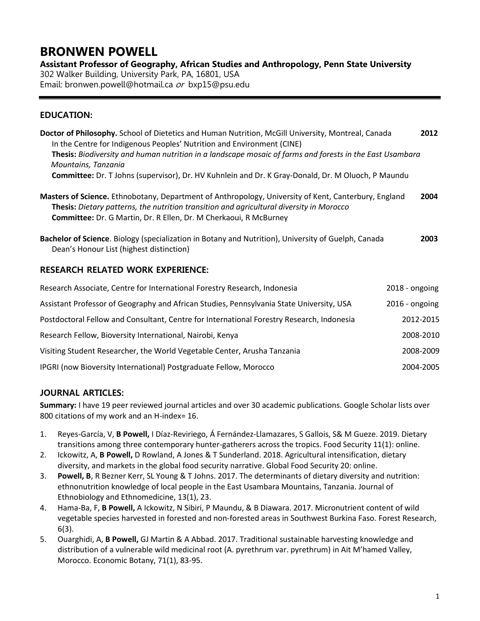# **BRONWEN POWELL**

**Assistant Professor of Geography, African Studies and Anthropology, Penn State University** 302 Walker Building, University Park, PA, 16801, USA

Email: [bronwen.powell@hotmail.ca](mailto:bronwen.powell@hotmail.ca) or bxp15@psu.edu

# **EDUCATION:**

| Doctor of Philosophy. School of Dietetics and Human Nutrition, McGill University, Montreal, Canada       | 2012 |
|----------------------------------------------------------------------------------------------------------|------|
| In the Centre for Indigenous Peoples' Nutrition and Environment (CINE)                                   |      |
| Thesis: Biodiversity and human nutrition in a landscape mosaic of farms and forests in the East Usambara |      |
| Mountains, Tanzania                                                                                      |      |
| Committee: Dr. T Johns (supervisor), Dr. HV Kuhnlein and Dr. K Gray-Donald, Dr. M Oluoch, P Maundu       |      |
|                                                                                                          |      |

**Masters of Science.** Ethnobotany, Department of Anthropology, University of Kent, Canterbury, England **2004 Thesis:** *Dietary patterns, the nutrition transition and agricultural diversity in Morocco* **Committee:** Dr. G Martin, Dr. R Ellen, Dr. M Cherkaoui, R McBurney

**Bachelor of Science**. Biology (specialization in Botany and Nutrition), University of Guelph, Canada **2003** Dean's Honour List (highest distinction)

# **RESEARCH RELATED WORK EXPERIENCE:**

| Research Associate, Centre for International Forestry Research, Indonesia                 | $2018 -$ ongoing |
|-------------------------------------------------------------------------------------------|------------------|
| Assistant Professor of Geography and African Studies, Pennsylvania State University, USA  | $2016 -$ ongoing |
| Postdoctoral Fellow and Consultant, Centre for International Forestry Research, Indonesia | 2012-2015        |
| Research Fellow, Bioversity International, Nairobi, Kenya                                 | 2008-2010        |
| Visiting Student Researcher, the World Vegetable Center, Arusha Tanzania                  | 2008-2009        |
| IPGRI (now Bioversity International) Postgraduate Fellow, Morocco                         | 2004-2005        |

# **JOURNAL ARTICLES:**

**Summary:** I have 19 peer reviewed journal articles and over 30 academic publications. Google Scholar lists over 800 citations of my work and an H-index= 16.

- 1. Reyes-García, V, **B Powell,** I Díaz-Reviriego, Á Fernández-Llamazares, S Gallois, S& M Gueze. 2019. Dietary transitions among three contemporary hunter-gatherers across the tropics. Food Security 11(1): online.
- 2. Ickowitz, A, **B Powell,** D Rowland, A Jones & T Sunderland. 2018. Agricultural intensification, dietary diversity, and markets in the global food security narrative. Global Food Security 20: online.
- 3. **Powell, B**, R Bezner Kerr, SL Young & T Johns. 2017. The determinants of dietary diversity and nutrition: ethnonutrition knowledge of local people in the East Usambara Mountains, Tanzania. Journal of Ethnobiology and Ethnomedicine, 13(1), 23.
- 4. Hama-Ba, F, **B Powell,** A Ickowitz, N Sibiri, P Maundu, & B Diawara. 2017. Micronutrient content of wild vegetable species harvested in forested and non-forested areas in Southwest Burkina Faso. Forest Research, 6(3).
- 5. Ouarghidi, A, **B Powell,** GJ Martin & A Abbad. 2017. Traditional sustainable harvesting knowledge and distribution of a vulnerable wild medicinal root (A. pyrethrum var. pyrethrum) in Ait M'hamed Valley, Morocco. Economic Botany, 71(1), 83-95.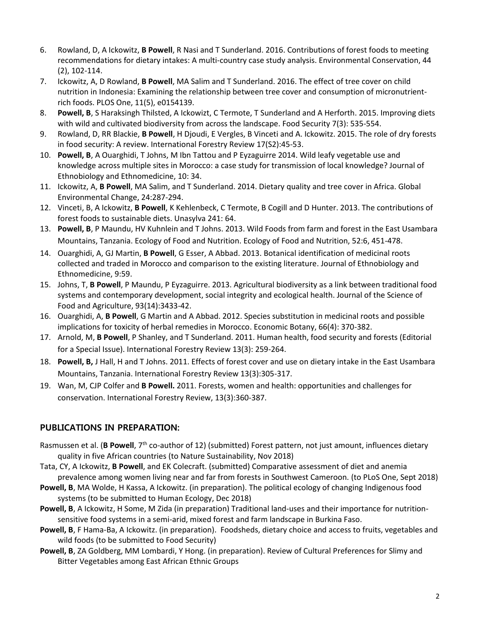- 6. Rowland, D, A Ickowitz, **B Powell**, R Nasi and T Sunderland. 2016. Contributions of forest foods to meeting recommendations for dietary intakes: A multi-country case study analysis. Environmental Conservation, 44 (2), 102-114.
- 7. Ickowitz, A, D Rowland, **B Powell**, MA Salim and T Sunderland. 2016. The effect of tree cover on child nutrition in Indonesia: Examining the relationship between tree cover and consumption of micronutrientrich foods. PLOS One, 11(5), e0154139.
- 8. **Powell, B**, S Haraksingh Thilsted, A Ickowizt, C Termote, T Sunderland and A Herforth. 2015. Improving diets with wild and cultivated biodiversity from across the landscape. Food Security 7(3): 535-554.
- 9. Rowland, D, RR Blackie, **B Powell**, H Djoudi, E Vergles, B Vinceti and A. Ickowitz. 2015. The role of dry forests in food security: A review. International Forestry Review 17(S2):45-53.
- 10. **Powell, B**, A Ouarghidi, T Johns, M Ibn Tattou and P Eyzaguirre 2014. Wild leafy vegetable use and knowledge across multiple sites in Morocco: a case study for transmission of local knowledge? Journal of Ethnobiology and Ethnomedicine, 10: 34.
- 11. Ickowitz, A, **B Powell**, MA Salim, and T Sunderland. 2014. Dietary quality and tree cover in Africa. Global Environmental Change, 24:287-294.
- 12. Vinceti, B, A Ickowitz, **B Powell**, K Kehlenbeck, C Termote, B Cogill and D Hunter. 2013. The contributions of forest foods to sustainable diets. Unasylva 241: 64.
- 13. **Powell, B**, P Maundu, HV Kuhnlein and T Johns. 2013. Wild Foods from farm and forest in the East Usambara Mountains, Tanzania. Ecology of Food and Nutrition. Ecology of Food and Nutrition, 52:6, 451-478.
- 14. Ouarghidi, A, GJ Martin, **B Powell**, G Esser, A Abbad. 2013. Botanical identification of medicinal roots collected and traded in Morocco and comparison to the existing literature. Journal of Ethnobiology and Ethnomedicine, 9:59.
- 15. Johns, T, **B Powell**, P Maundu, P Eyzaguirre. 2013. Agricultural biodiversity as a link between traditional food systems and contemporary development, social integrity and ecological health. Journal of the Science of Food and Agriculture, 93(14):3433-42.
- 16. Ouarghidi, A, **B Powell**, G Martin and A Abbad. 2012. Species substitution in medicinal roots and possible implications for toxicity of herbal remedies in Morocco. Economic Botany, 66(4): 370-382.
- 17. Arnold, M, **B Powell**, P Shanley, and T Sunderland. 2011. Human health, food security and forests (Editorial for a Special Issue). International Forestry Review 13(3): 259-264.
- 18. **Powell, B,** J Hall, H and T Johns. 2011. Effects of forest cover and use on dietary intake in the East Usambara Mountains, Tanzania. International Forestry Review 13(3):305-317.
- 19. Wan, M, CJP Colfer and **B Powell.** 2011. Forests, women and health: opportunities and challenges for conservation. International Forestry Review, 13(3):360-387.

# **PUBLICATIONS IN PREPARATION:**

- Rasmussen et al. (**B Powell**, 7th co-author of 12) (submitted) Forest pattern, not just amount, influences dietary quality in five African countries (to Nature Sustainability, Nov 2018)
- Tata, CY, A Ickowitz, **B Powell**, and EK Colecraft. (submitted) Comparative assessment of diet and anemia prevalence among women living near and far from forests in Southwest Cameroon. (to PLoS One, Sept 2018)
- **Powell, B**, MA Wolde, H Kassa, A Ickowitz. (in preparation). The political ecology of changing Indigenous food systems (to be submitted to Human Ecology, Dec 2018)
- **Powell, B**, A Ickowitz, H Some, M Zida (in preparation) Traditional land-uses and their importance for nutritionsensitive food systems in a semi-arid, mixed forest and farm landscape in Burkina Faso.
- **Powell, B**, F Hama-Ba, A Ickowitz. (in preparation). Foodsheds, dietary choice and access to fruits, vegetables and wild foods (to be submitted to Food Security)
- **Powell, B**, ZA Goldberg, MM Lombardi, Y Hong. (in preparation). Review of Cultural Preferences for Slimy and Bitter Vegetables among East African Ethnic Groups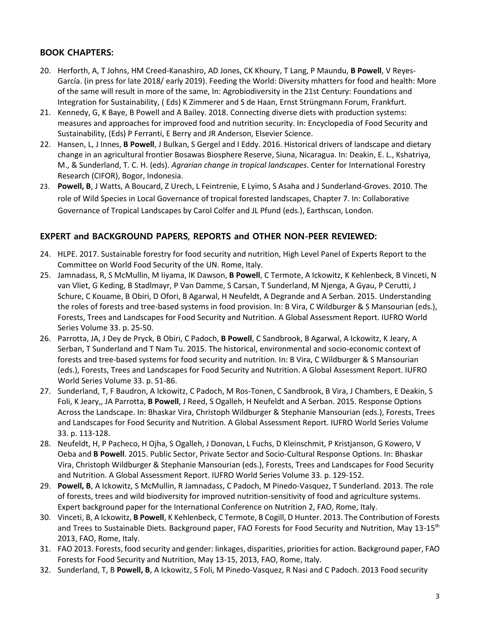# **BOOK CHAPTERS:**

- 20. Herforth, A, T Johns, HM Creed-Kanashiro, AD Jones, CK Khoury, T Lang, P Maundu, **B Powell**, V Reyes-García. (in press for late 2018/ early 2019). Feeding the World: Diversity mhatters for food and health: More of the same will result in more of the same, In: Agrobiodiversity in the 21st Century: Foundations and Integration for Sustainability, ( Eds) K Zimmerer and S de Haan, Ernst Strüngmann Forum, Frankfurt.
- 21. Kennedy, G, K Baye, B Powell and A Bailey. 2018. Connecting diverse diets with production systems: measures and approaches for improved food and nutrition security. In: Encyclopedia of Food Security and Sustainability, (Eds) P Ferranti, E Berry and JR Anderson, Elsevier Science.
- 22. Hansen, L, J Innes, **B Powell**, J Bulkan, S Gergel and I Eddy. 2016. Historical drivers of landscape and dietary change in an agricultural frontier Bosawas Biosphere Reserve, Siuna, Nicaragua. In: Deakin, E. L., Kshatriya, M., & Sunderland, T. C. H. (eds). *Agrarian change in tropical landscapes*. Center for International Forestry Research (CIFOR), Bogor, Indonesia.
- 23. **Powell, B**, J Watts, A Boucard, Z Urech, L Feintrenie, E Lyimo, S Asaha and J Sunderland-Groves. 2010. The role of Wild Species in Local Governance of tropical forested landscapes, Chapter 7. In: Collaborative Governance of Tropical Landscapes by Carol Colfer and JL Pfund (eds.), Earthscan, London.

# **EXPERT and BACKGROUND PAPERS, REPORTS and OTHER NON-PEER REVIEWED:**

- 24. HLPE. 2017. Sustainable forestry for food security and nutrition, High Level Panel of Experts Report to the Committee on World Food Security of the UN. Rome, Italy.
- 25. Jamnadass, R, S McMullin, M Iiyama, IK Dawson, **B Powell**, C Termote, A Ickowitz, K Kehlenbeck, B Vinceti, N van Vliet, G Keding, B Stadlmayr, P Van Damme, S Carsan, T Sunderland, M Njenga, A Gyau, P Cerutti, J Schure, C Kouame, B Obiri, D Ofori, B Agarwal, H Neufeldt, A Degrande and A Serban. 2015. Understanding the roles of forests and tree-based systems in food provision. In: B Vira, C Wildburger & S Mansourian (eds.), Forests, Trees and Landscapes for Food Security and Nutrition. A Global Assessment Report. IUFRO World Series Volume 33. p. 25-50.
- 26. Parrotta, JA, J Dey de Pryck, B Obiri, C Padoch, **B Powell**, C Sandbrook, B Agarwal, A Ickowitz, K Jeary, A Serban, T Sunderland and T Nam Tu. 2015. The historical, environmental and socio-economic context of forests and tree-based systems for food security and nutrition. In: B Vira, C Wildburger & S Mansourian (eds.), Forests, Trees and Landscapes for Food Security and Nutrition. A Global Assessment Report. IUFRO World Series Volume 33. p. 51-86.
- 27. Sunderland, T, F Baudron, A Ickowitz, C Padoch, M Ros-Tonen, C Sandbrook, B Vira, J Chambers, E Deakin, S Foli, K Jeary,, JA Parrotta, **B Powell**, J Reed, S Ogalleh, H Neufeldt and A Serban. 2015. Response Options Across the Landscape. In: Bhaskar Vira, Christoph Wildburger & Stephanie Mansourian (eds.), Forests, Trees and Landscapes for Food Security and Nutrition. A Global Assessment Report. IUFRO World Series Volume 33. p. 113-128.
- 28. Neufeldt, H, P Pacheco, H Ojha, S Ogalleh, J Donovan, L Fuchs, D Kleinschmit, P Kristjanson, G Kowero, V Oeba and **B Powell**. 2015. Public Sector, Private Sector and Socio-Cultural Response Options. In: Bhaskar Vira, Christoph Wildburger & Stephanie Mansourian (eds.), Forests, Trees and Landscapes for Food Security and Nutrition. A Global Assessment Report. IUFRO World Series Volume 33. p. 129-152.
- 29. **Powell, B**, A Ickowitz, S McMullin, R Jamnadass, C Padoch, M Pinedo-Vasquez, T Sunderland. 2013. The role of forests, trees and wild biodiversity for improved nutrition-sensitivity of food and agriculture systems. Expert background paper for the International Conference on Nutrition 2, FAO, Rome, Italy.
- 30. Vinceti, B, A Ickowitz, **B Powell**, K Kehlenbeck, C Termote, B Cogill, D Hunter. 2013. The Contribution of Forests and Trees to Sustainable Diets. Background paper, FAO Forests for Food Security and Nutrition, May 13-15<sup>th</sup> 2013, FAO, Rome, Italy.
- 31. FAO 2013. Forests, food security and gender: linkages, disparities, priorities for action. Background paper, FAO Forests for Food Security and Nutrition, May 13-15, 2013, FAO, Rome, Italy.
- 32. Sunderland, T, B **Powell, B**, A Ickowitz, S Foli, M Pinedo-Vasquez, R Nasi and C Padoch. 2013 Food security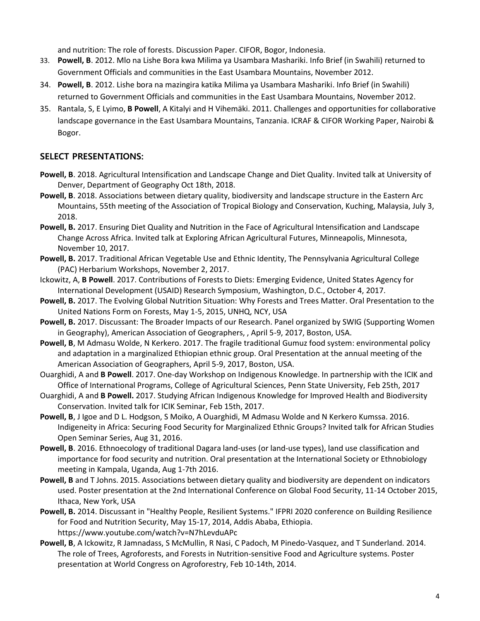and nutrition: The role of forests. Discussion Paper. CIFOR, Bogor, Indonesia.

- 33. **Powell, B**. 2012. Mlo na Lishe Bora kwa Milima ya Usambara Mashariki. Info Brief (in Swahili) returned to Government Officials and communities in the East Usambara Mountains, November 2012.
- 34. **Powell, B**. 2012. Lishe bora na mazingira katika Milima ya Usambara Mashariki. Info Brief (in Swahili) returned to Government Officials and communities in the East Usambara Mountains, November 2012.
- 35. Rantala, S, E Lyimo, **B Powell**, A Kitalyi and H Vihemäki. 2011. Challenges and opportunities for collaborative landscape governance in the East Usambara Mountains, Tanzania. ICRAF & CIFOR Working Paper, Nairobi & Bogor.

# **SELECT PRESENTATIONS:**

- **Powell, B**. 2018. Agricultural Intensification and Landscape Change and Diet Quality. Invited talk at University of Denver, Department of Geography Oct 18th, 2018.
- **Powell, B**. 2018. Associations between dietary quality, biodiversity and landscape structure in the Eastern Arc Mountains, 55th meeting of the Association of Tropical Biology and Conservation, Kuching, Malaysia, July 3, 2018.
- **Powell, B.** 2017. Ensuring Diet Quality and Nutrition in the Face of Agricultural Intensification and Landscape Change Across Africa. Invited talk at Exploring African Agricultural Futures, Minneapolis, Minnesota, November 10, 2017.
- **Powell, B.** 2017. Traditional African Vegetable Use and Ethnic Identity, The Pennsylvania Agricultural College (PAC) Herbarium Workshops, November 2, 2017.
- Ickowitz, A, **B Powell**. 2017. Contributions of Forests to Diets: Emerging Evidence, United States Agency for International Development (USAID) Research Symposium, Washington, D.C., October 4, 2017.
- **Powell, B.** 2017. The Evolving Global Nutrition Situation: Why Forests and Trees Matter. Oral Presentation to the United Nations Form on Forests, May 1-5, 2015, UNHQ, NCY, USA
- **Powell, B.** 2017. Discussant: The Broader Impacts of our Research. Panel organized by SWIG (Supporting Women in Geography), American Association of Geographers, , April 5-9, 2017, Boston, USA.
- **Powell, B**, M Admasu Wolde, N Kerkero. 2017. The fragile traditional Gumuz food system: environmental policy and adaptation in a marginalized Ethiopian ethnic group. Oral Presentation at the annual meeting of the American Association of Geographers, April 5-9, 2017, Boston, USA.
- Ouarghidi, A and **B Powell**. 2017. One-day Workshop on Indigenous Knowledge. In partnership with the ICIK and Office of International Programs, College of Agricultural Sciences, Penn State University, Feb 25th, 2017
- Ouarghidi, A and **B Powell.** 2017. Studying African Indigenous Knowledge for Improved Health and Biodiversity Conservation. Invited talk for ICIK Seminar, Feb 15th, 2017.
- **Powell, B**, J Igoe and D L. Hodgson, S Moiko, A Ouarghidi, M Admasu Wolde and N Kerkero Kumssa. 2016. Indigeneity in Africa: Securing Food Security for Marginalized Ethnic Groups? Invited talk for African Studies Open Seminar Series, Aug 31, 2016.
- **Powell, B**. 2016. Ethnoecology of traditional Dagara land-uses (or land-use types), land use classification and importance for food security and nutrition. Oral presentation at the International Society or Ethnobiology meeting in Kampala, Uganda, Aug 1-7th 2016.
- **Powell, B** and T Johns. 2015. Associations between dietary quality and biodiversity are dependent on indicators used. Poster presentation at the 2nd International Conference on Global Food Security, 11-14 October 2015, Ithaca, New York, USA
- **Powell, B.** 2014. Discussant in "Healthy People, Resilient Systems." IFPRI 2020 conference on Building Resilience for Food and Nutrition Security, May 15-17, 2014, Addis Ababa, Ethiopia. https://www.youtube.com/watch?v=N7hLevduAPc
- **Powell, B**, A Ickowitz, R Jamnadass, S McMullin, R Nasi, C Padoch, M Pinedo-Vasquez, and T Sunderland. 2014. The role of Trees, Agroforests, and Forests in Nutrition-sensitive Food and Agriculture systems. Poster presentation at World Congress on Agroforestry, Feb 10-14th, 2014.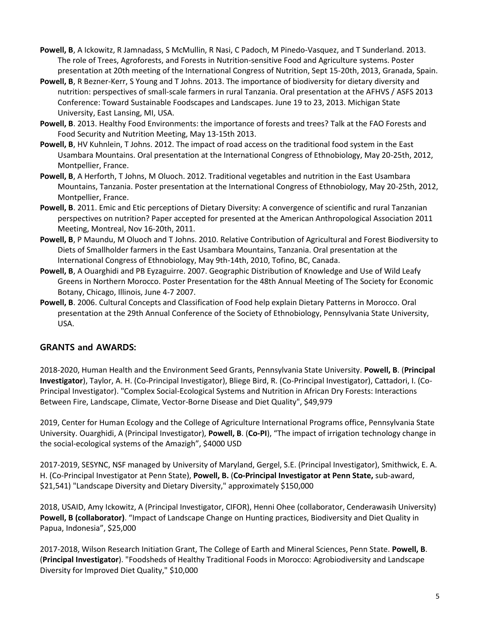- **Powell, B**, A Ickowitz, R Jamnadass, S McMullin, R Nasi, C Padoch, M Pinedo-Vasquez, and T Sunderland. 2013. The role of Trees, Agroforests, and Forests in Nutrition-sensitive Food and Agriculture systems. Poster presentation at 20th meeting of the International Congress of Nutrition, Sept 15-20th, 2013, Granada, Spain.
- **Powell, B**, R Bezner-Kerr, S Young and T Johns. 2013. The importance of biodiversity for dietary diversity and nutrition: perspectives of small-scale farmers in rural Tanzania. Oral presentation at the AFHVS / ASFS 2013 Conference: Toward Sustainable Foodscapes and Landscapes. June 19 to 23, 2013. Michigan State University, East Lansing, MI, USA.
- **Powell, B**. 2013. Healthy Food Environments: the importance of forests and trees? Talk at the FAO Forests and Food Security and Nutrition Meeting, May 13-15th 2013.
- **Powell, B**, HV Kuhnlein, T Johns. 2012. The impact of road access on the traditional food system in the East Usambara Mountains. Oral presentation at the International Congress of Ethnobiology, May 20-25th, 2012, Montpellier, France.
- **Powell, B**, A Herforth, T Johns, M Oluoch. 2012. Traditional vegetables and nutrition in the East Usambara Mountains, Tanzania. Poster presentation at the International Congress of Ethnobiology, May 20-25th, 2012, Montpellier, France.
- **Powell, B**. 2011. Emic and Etic perceptions of Dietary Diversity: A convergence of scientific and rural Tanzanian perspectives on nutrition? Paper accepted for presented at the American Anthropological Association 2011 Meeting, Montreal, Nov 16-20th, 2011.
- **Powell, B**, P Maundu, M Oluoch and T Johns. 2010. Relative Contribution of Agricultural and Forest Biodiversity to Diets of Smallholder farmers in the East Usambara Mountains, Tanzania. Oral presentation at the International Congress of Ethnobiology, May 9th-14th, 2010, Tofino, BC, Canada.
- **Powell, B**, A Ouarghidi and PB Eyzaguirre. 2007. Geographic Distribution of Knowledge and Use of Wild Leafy Greens in Northern Morocco. Poster Presentation for the 48th Annual Meeting of The Society for Economic Botany, Chicago, Illinois, June 4-7 2007.
- **Powell, B**. 2006. Cultural Concepts and Classification of Food help explain Dietary Patterns in Morocco. Oral presentation at the 29th Annual Conference of the Society of Ethnobiology, Pennsylvania State University, USA.

# **GRANTS and AWARDS:**

2018-2020, Human Health and the Environment Seed Grants, Pennsylvania State University. **Powell, B**. (**Principal Investigator**), Taylor, A. H. (Co-Principal Investigator), Bliege Bird, R. (Co-Principal Investigator), Cattadori, I. (Co-Principal Investigator). "Complex Social-Ecological Systems and Nutrition in African Dry Forests: Interactions Between Fire, Landscape, Climate, Vector-Borne Disease and Diet Quality", \$49,979

2019, Center for Human Ecology and the College of Agriculture International Programs office, Pennsylvania State University. Ouarghidi, A (Principal Investigator), **Powell, B**. (**Co-PI**), "The impact of irrigation technology change in the social-ecological systems of the Amazigh", \$4000 USD

2017-2019, SESYNC, NSF managed by University of Maryland, Gergel, S.E. (Principal Investigator), Smithwick, E. A. H. (Co-Principal Investigator at Penn State), **Powell, B.** (**Co-Principal Investigator at Penn State,** sub-award, \$21,541) "Landscape Diversity and Dietary Diversity," approximately \$150,000

2018, USAID, Amy Ickowitz, A (Principal Investigator, CIFOR), Henni Ohee (collaborator, Cenderawasih University) **Powell, B (collaborator)**. "Impact of Landscape Change on Hunting practices, Biodiversity and Diet Quality in Papua, Indonesia", \$25,000

2017-2018, Wilson Research Initiation Grant, The College of Earth and Mineral Sciences, Penn State. **Powell, B**. (**Principal Investigator**). "Foodsheds of Healthy Traditional Foods in Morocco: Agrobiodiversity and Landscape Diversity for Improved Diet Quality," \$10,000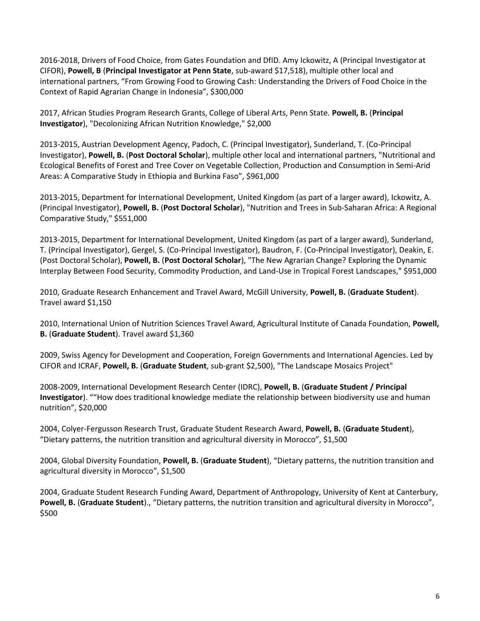2016-2018, Drivers of Food Choice, from Gates Foundation and DfID. Amy Ickowitz, A (Principal Investigator at CIFOR), **Powell, B** (**Principal Investigator at Penn State**, sub-award \$17,518), multiple other local and international partners, "From Growing Food to Growing Cash: Understanding the Drivers of Food Choice in the Context of Rapid Agrarian Change in Indonesia", \$300,000

2017, African Studies Program Research Grants, College of Liberal Arts, Penn State. **Powell, B.** (**Principal Investigator**), "Decolonizing African Nutrition Knowledge," \$2,000

2013-2015, Austrian Development Agency, Padoch, C. (Principal Investigator), Sunderland, T. (Co-Principal Investigator), **Powell, B.** (**Post Doctoral Scholar**), multiple other local and international partners, "Nutritional and Ecological Benefits of Forest and Tree Cover on Vegetable Collection, Production and Consumption in Semi-Arid Areas: A Comparative Study in Ethiopia and Burkina Faso", \$961,000

2013-2015, Department for International Development, United Kingdom (as part of a larger award), Ickowitz, A. (Principal Investigator), **Powell, B.** (**Post Doctoral Scholar**), "Nutrition and Trees in Sub-Saharan Africa: A Regional Comparative Study," \$551,000

2013-2015, Department for International Development, United Kingdom (as part of a larger award), Sunderland, T. (Principal Investigator), Gergel, S. (Co-Principal Investigator), Baudron, F. (Co-Principal Investigator), Deakin, E. (Post Doctoral Scholar), **Powell, B.** (**Post Doctoral Scholar**), "The New Agrarian Change? Exploring the Dynamic Interplay Between Food Security, Commodity Production, and Land-Use in Tropical Forest Landscapes," \$951,000

2010, Graduate Research Enhancement and Travel Award, McGill University, **Powell, B.** (**Graduate Student**). Travel award \$1,150

2010, International Union of Nutrition Sciences Travel Award, Agricultural Institute of Canada Foundation, **Powell, B.** (**Graduate Student**). Travel award \$1,360

2009, Swiss Agency for Development and Cooperation, Foreign Governments and International Agencies. Led by CIFOR and ICRAF, **Powell, B.** (**Graduate Student**, sub-grant \$2,500), "The Landscape Mosaics Project"

2008-2009, International Development Research Center (IDRC), **Powell, B.** (**Graduate Student / Principal Investigator**). ""How does traditional knowledge mediate the relationship between biodiversity use and human nutrition", \$20,000

2004, Colyer-Fergusson Research Trust, Graduate Student Research Award, **Powell, B.** (**Graduate Student**), "Dietary patterns, the nutrition transition and agricultural diversity in Morocco", \$1,500

2004, Global Diversity Foundation, **Powell, B.** (**Graduate Student**), "Dietary patterns, the nutrition transition and agricultural diversity in Morocco", \$1,500

2004, Graduate Student Research Funding Award, Department of Anthropology, University of Kent at Canterbury, **Powell, B.** (**Graduate Student**)., "Dietary patterns, the nutrition transition and agricultural diversity in Morocco", \$500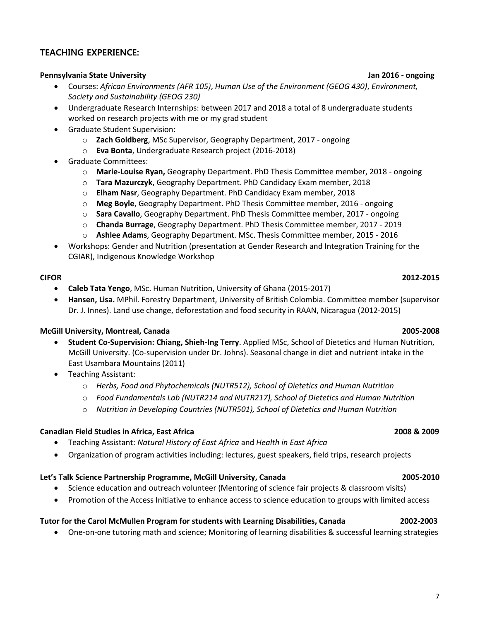### **TEACHING EXPERIENCE:**

#### **Pennsylvania State University Jan 2016 - ongoing**

- Courses: *African Environments (AFR 105)*, *Human Use of the Environment (GEOG 430)*, *Environment, Society and Sustainability (GEOG 230)*
- Undergraduate Research Internships: between 2017 and 2018 a total of 8 undergraduate students worked on research projects with me or my grad student
- Graduate Student Supervision:
	- o **Zach Goldberg**, MSc Supervisor, Geography Department, 2017 ongoing
	- o **Eva Bonta**, Undergraduate Research project (2016-2018)
- Graduate Committees:
	- o **Marie-Louise Ryan,** Geography Department. PhD Thesis Committee member, 2018 ongoing
	- o **Tara Mazurczyk**, Geography Department. PhD Candidacy Exam member, 2018
	- o **Elham Nasr**, Geography Department. PhD Candidacy Exam member, 2018
	- o **Meg Boyle**, Geography Department. PhD Thesis Committee member, 2016 ongoing
	- o **Sara Cavallo**, Geography Department. PhD Thesis Committee member, 2017 ongoing
	- o **Chanda Burrage**, Geography Department. PhD Thesis Committee member, 2017 2019
	- o **Ashlee Adams**, Geography Department. MSc. Thesis Committee member, 2015 2016
- Workshops: Gender and Nutrition (presentation at Gender Research and Integration Training for the CGIAR), Indigenous Knowledge Workshop

#### **CIFOR 2012-2015**

- **Caleb Tata Yengo**, MSc. Human Nutrition, University of Ghana (2015-2017)
- **Hansen, Lisa.** MPhil. Forestry Department, University of British Colombia. Committee member (supervisor Dr. J. Innes). Land use change, deforestation and food security in RAAN, Nicaragua (2012-2015)

#### **McGill University, Montreal, Canada 2005-2008**

- **Student Co-Supervision: Chiang, Shieh-Ing Terry**. Applied MSc, School of Dietetics and Human Nutrition, McGill University. (Co-supervision under Dr. Johns). Seasonal change in diet and nutrient intake in the East Usambara Mountains (2011)
- Teaching Assistant:
	- o *Herbs, Food and Phytochemicals (NUTR512), School of Dietetics and Human Nutrition*
	- o *Food Fundamentals Lab (NUTR214 and NUTR217), School of Dietetics and Human Nutrition*
	- o *Nutrition in Developing Countries (NUTR501), School of Dietetics and Human Nutrition*

#### **Canadian Field Studies in Africa, East Africa 2008 & 2009**

- Teaching Assistant: *Natural History of East Africa* and *Health in East Africa*
- Organization of program activities including: lectures, guest speakers, field trips, research projects

### **Let's Talk Science Partnership Programme, McGill University, Canada 2005-2010**

- Science education and outreach volunteer (Mentoring of science fair projects & classroom visits)
- Promotion of the Access Initiative to enhance access to science education to groups with limited access

### **Tutor for the Carol McMullen Program for students with Learning Disabilities, Canada 2002-2003**

• One-on-one tutoring math and science; Monitoring of learning disabilities & successful learning strategies

#### 7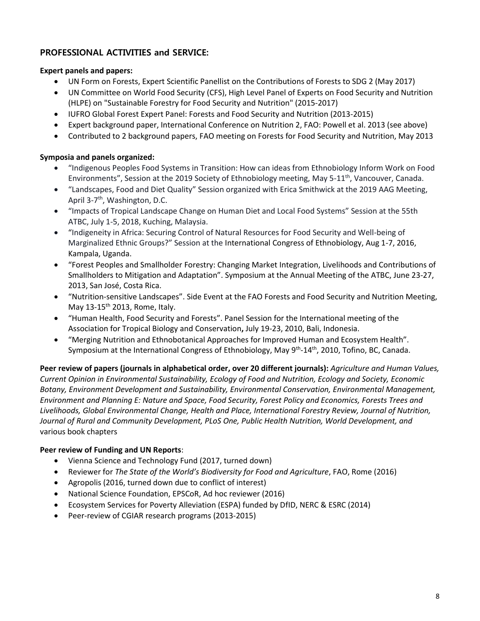# **PROFESSIONAL ACTIVITIES and SERVICE:**

#### **Expert panels and papers:**

- UN Form on Forests, Expert Scientific Panellist on the Contributions of Forests to SDG 2 (May 2017)
- UN Committee on World Food Security (CFS), High Level Panel of Experts on Food Security and Nutrition (HLPE) on "Sustainable Forestry for Food Security and Nutrition" (2015-2017)
- IUFRO Global Forest Expert Panel: Forests and Food Security and Nutrition (2013-2015)
- Expert background paper, International Conference on Nutrition 2, FAO: Powell et al. 2013 (see above)
- Contributed to 2 background papers, FAO meeting on Forests for Food Security and Nutrition, May 2013

#### **Symposia and panels organized:**

- "Indigenous Peoples Food Systems in Transition: How can ideas from Ethnobiology Inform Work on Food Environments", Session at the 2019 Society of Ethnobiology meeting, May 5-11<sup>th</sup>, Vancouver, Canada.
- "Landscapes, Food and Diet Quality" Session organized with Erica Smithwick at the 2019 AAG Meeting, April 3-7<sup>th</sup>, Washington, D.C.
- "Impacts of Tropical Landscape Change on Human Diet and Local Food Systems" Session at the 55th ATBC, July 1-5, 2018, Kuching, Malaysia.
- "Indigeneity in Africa: Securing Control of Natural Resources for Food Security and Well-being of Marginalized Ethnic Groups?" Session at the International Congress of Ethnobiology, Aug 1-7, 2016, Kampala, Uganda.
- "Forest Peoples and Smallholder Forestry: Changing Market Integration, Livelihoods and Contributions of Smallholders to Mitigation and Adaptation". Symposium at the Annual Meeting of the ATBC, June 23-27, 2013, San José, Costa Rica.
- "Nutrition-sensitive Landscapes". Side Event at the FAO Forests and Food Security and Nutrition Meeting, May  $13-15$ <sup>th</sup> 2013, Rome, Italy.
- "Human Health, Food Security and Forests". Panel Session for the International meeting of the Association for Tropical Biology and Conservation**,** July 19-23, 2010, Bali, Indonesia.
- "Merging Nutrition and Ethnobotanical Approaches for Improved Human and Ecosystem Health". Symposium at the International Congress of Ethnobiology, May 9<sup>th</sup>-14<sup>th</sup>, 2010, Tofino, BC, Canada.

**Peer review of papers (journals in alphabetical order, over 20 different journals):** *Agriculture and Human Values, Current Opinion in Environmental Sustainability, Ecology of Food and Nutrition, Ecology and Society, Economic Botany, Environment Development and Sustainability, Environmental Conservation, Environmental Management, Environment and Planning E: Nature and Space, Food Security, Forest Policy and Economics, Forests Trees and Livelihoods, Global Environmental Change, Health and Place, International Forestry Review, Journal of Nutrition, Journal of Rural and Community Development, PLoS One, Public Health Nutrition, World Development, and*  various book chapters

### **Peer review of Funding and UN Reports**:

- Vienna Science and Technology Fund (2017, turned down)
- Reviewer for *The State of the World's Biodiversity for Food and Agriculture*, FAO, Rome (2016)
- Agropolis (2016, turned down due to conflict of interest)
- National Science Foundation, EPSCoR, Ad hoc reviewer (2016)
- Ecosystem Services for Poverty Alleviation (ESPA) funded by DfID, NERC & ESRC (2014)
- Peer-review of CGIAR research programs (2013-2015)